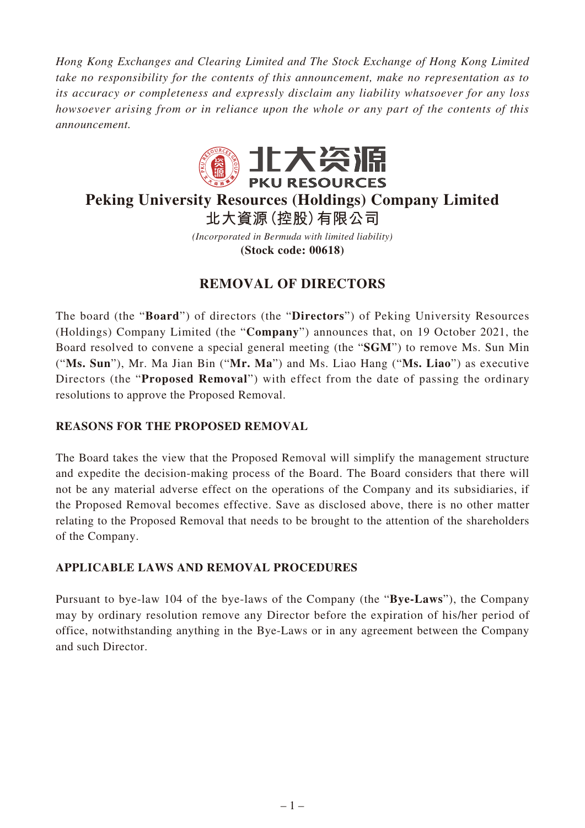*Hong Kong Exchanges and Clearing Limited and The Stock Exchange of Hong Kong Limited take no responsibility for the contents of this announcement, make no representation as to its accuracy or completeness and expressly disclaim any liability whatsoever for any loss howsoever arising from or in reliance upon the whole or any part of the contents of this announcement.*



# **Peking University Resources (Holdings) Company Limited 北大資源(控股)有限公司**

*(Incorporated in Bermuda with limited liability)* **(Stock code: 00618)**

# **REMOVAL OF DIRECTORS**

The board (the "**Board**") of directors (the "**Directors**") of Peking University Resources (Holdings) Company Limited (the "**Company**") announces that, on 19 October 2021, the Board resolved to convene a special general meeting (the "**SGM**") to remove Ms. Sun Min ("**Ms. Sun**"), Mr. Ma Jian Bin ("**Mr. Ma**") and Ms. Liao Hang ("**Ms. Liao**") as executive Directors (the "**Proposed Removal**") with effect from the date of passing the ordinary resolutions to approve the Proposed Removal.

### **REASONS FOR THE PROPOSED REMOVAL**

The Board takes the view that the Proposed Removal will simplify the management structure and expedite the decision-making process of the Board. The Board considers that there will not be any material adverse effect on the operations of the Company and its subsidiaries, if the Proposed Removal becomes effective. Save as disclosed above, there is no other matter relating to the Proposed Removal that needs to be brought to the attention of the shareholders of the Company.

### **APPLICABLE LAWS AND REMOVAL PROCEDURES**

Pursuant to bye-law 104 of the bye-laws of the Company (the "**Bye-Laws**"), the Company may by ordinary resolution remove any Director before the expiration of his/her period of office, notwithstanding anything in the Bye-Laws or in any agreement between the Company and such Director.